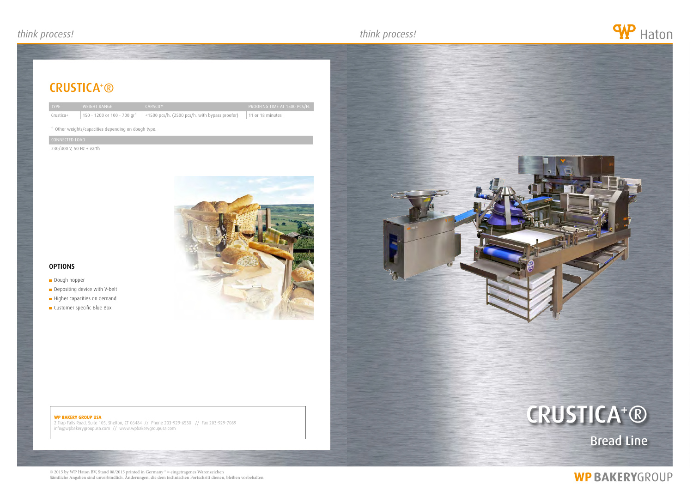## WP BAKERY GROUP USA

2 Trap Falls Road, Suite 105, Shelton, CT 06484 // Phone 203-929-6530 // Fax 203-929-7089 info@wpbakerygroupusa.com // www.wpbakerygroupusa.com



![](_page_0_Picture_18.jpeg)

# **WP BAKERYGROUP**

## crustica+ ®

| <b>TYPE</b> | WEIGHT RANGE                | <b>CAPACITY</b>         |
|-------------|-----------------------------|-------------------------|
| Crustica+   | 150 - 1200 or 100 - 700 gr* | <1500 pcs/h. (2500 pcs/ |

 $/h.$  with bypass proofer) 11 or 18 minutes

© 2015 by WP Haton BV, Stand 08/2015 printed in Germany ® = eingetragenes Warenzeichen Sämtliche Angaben sind unverbindlich. Änderungen, die dem technischen Fortschritt dienen, bleiben vorbehalten.

## \* Other weights/capacities depending on dough type.

## connected load

230/400 V, 50 Hz + earth

![](_page_0_Picture_8.jpeg)

## **OPTIONS**

- **Dough hopper**
- Depositing device with V-belt
- Higher capacities on demand
- **Customer specific Blue Box**